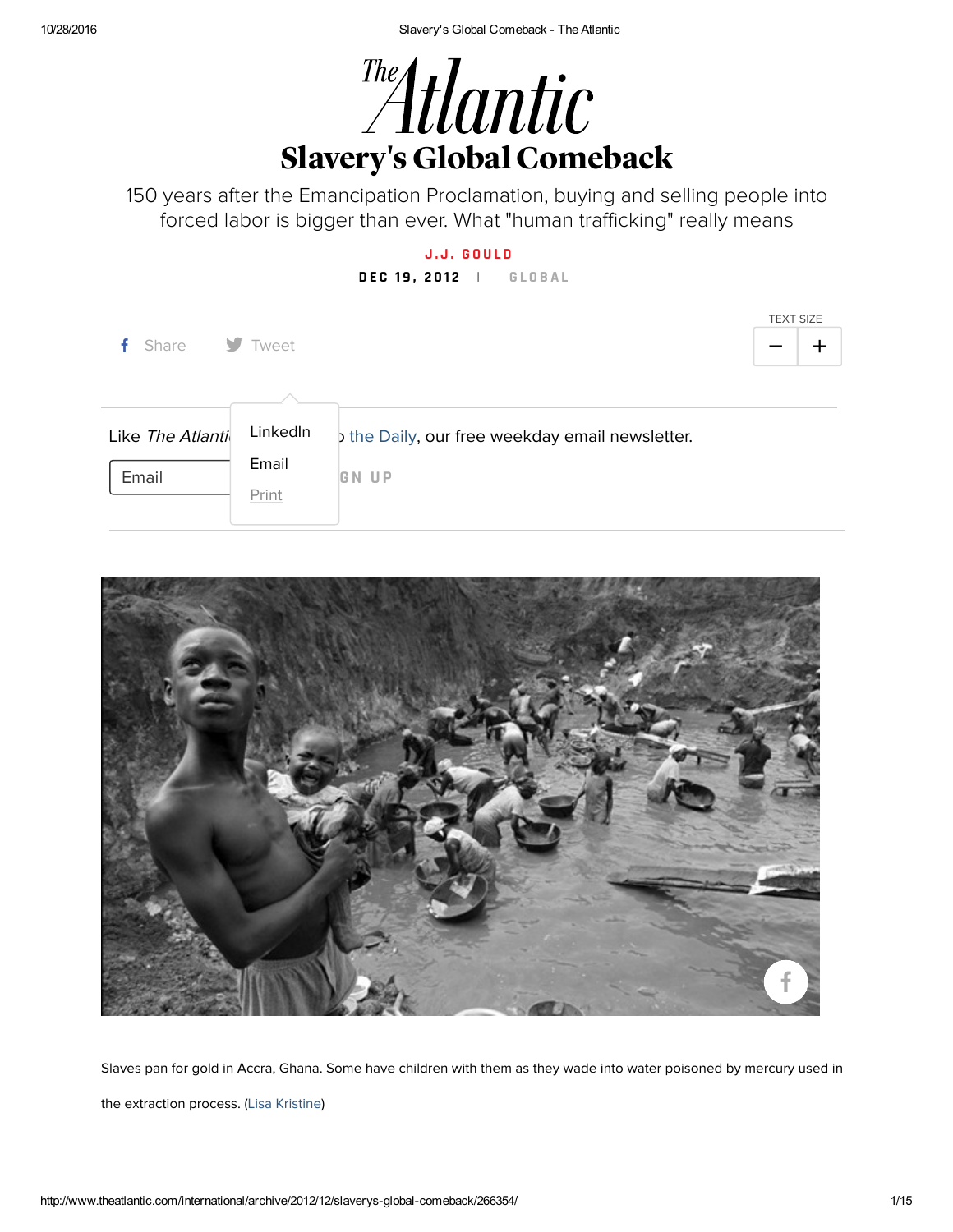

150 years after the Emancipation Proclamation, buying and selling people into forced labor is bigger than ever. What "human trafficking" really means

### **J . J . G O [U](http://www.theatlantic.com/author/jj-gould/) L D**

### **D E C 1 9 , 2 0 1 2 | G L O B [A](http://www.theatlantic.com/international/) L**

| f Share                   | V Tweet                    |                                                               | <b>TEXT SIZE</b> |
|---------------------------|----------------------------|---------------------------------------------------------------|------------------|
| Like The Atlanti<br>Email | LinkedIn<br>Email<br>Print | the Daily, our free weekday email newsletter.<br><b>GN UP</b> |                  |



Slaves pan for gold in Accra, Ghana. Some have children with them as they wade into water poisoned by mercury used in the extraction process. (Lisa [Kristine](http://www.lisakristine.com/))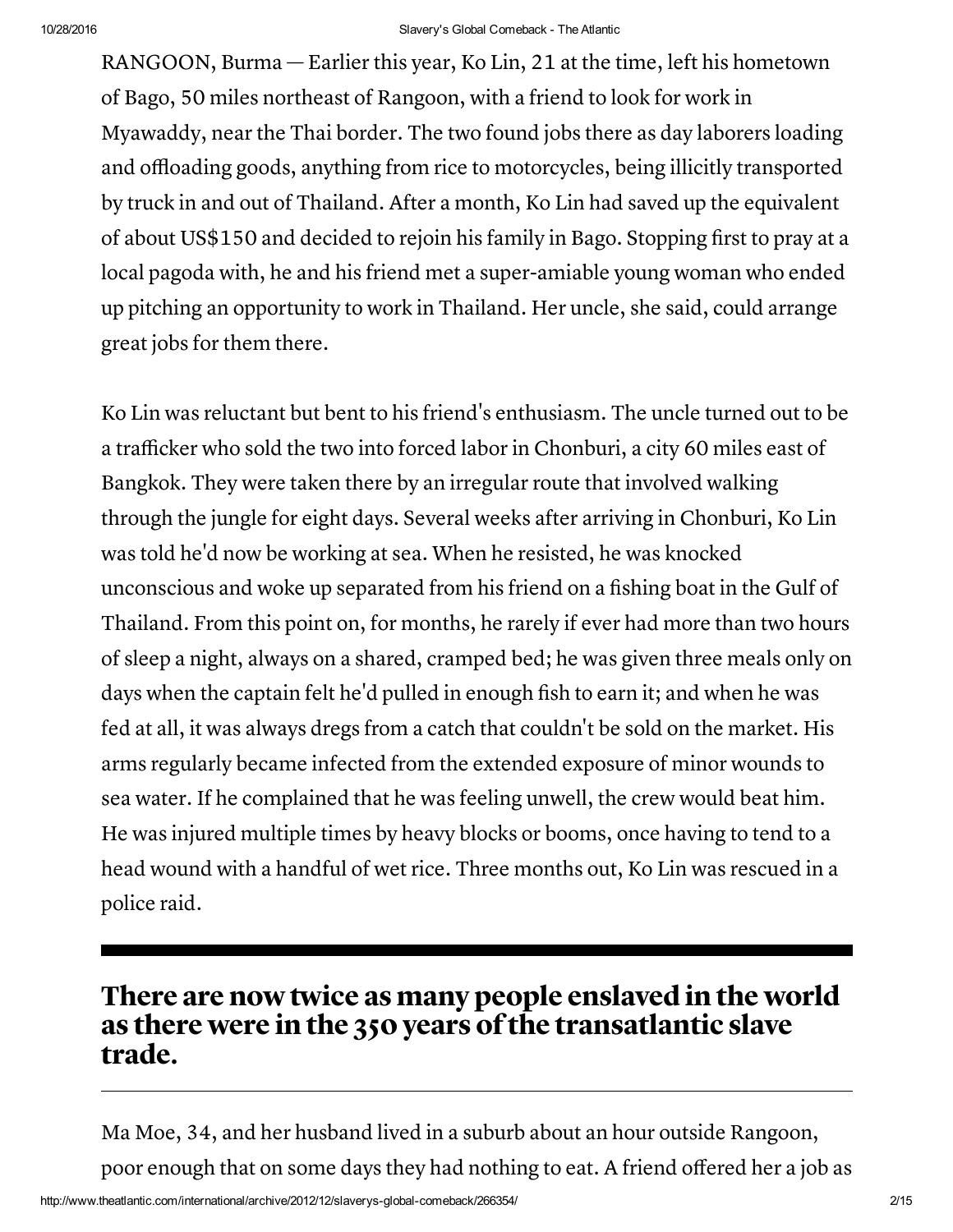RANGOON, Burma — Earlier this year, Ko Lin, 21 at the time, left his hometown of Bago, 50 miles northeast of Rangoon, with a friend to look for work in Myawaddy, near the Thai border. The two found jobs there as day laborers loading and offloading goods, anything from rice to motorcycles, being illicitly transported by truck in and out of Thailand. After a month, Ko Lin had saved up the equivalent of about US\$150 and decided to rejoin his family in Bago. Stopping first to pray at a local pagoda with, he and his friend met a super-amiable young woman who ended up pitching an opportunity to work in Thailand. Her uncle, she said, could arrange great jobs for them there.

Ko Lin was reluctant but bent to his friend's enthusiasm. The uncle turned out to be a trafficker who sold the two into forced labor in Chonburi, a city 60 miles east of Bangkok. They were taken there by an irregular route that involved walking through the jungle for eight days. Several weeks after arriving in Chonburi, Ko Lin was told he'd now be working at sea. When he resisted, he was knocked unconscious and woke up separated from his friend on a fishing boat in the Gulf of Thailand. From this point on, for months, he rarely if ever had more than two hours of sleep a night, always on a shared, cramped bed; he was given three meals only on days when the captain felt he'd pulled in enough fish to earn it; and when he was fed at all, it was always dregs from a catch that couldn't be sold on the market. His arms regularly became infected from the extended exposure of minor wounds to sea water. If he complained that he was feeling unwell, the crew would beat him. He was injured multiple times by heavy blocks or booms, once having to tend to a head wound with a handful of wet rice. Three months out, Ko Lin was rescued in a police raid.

## There are now twice as many people enslaved in the world as there were in the 350 years of the transatlantic slave trade.

Ma Moe, 34, and her husband lived in a suburb about an hour outside Rangoon, poor enough that on some days they had nothing to eat. A friend offered her a job as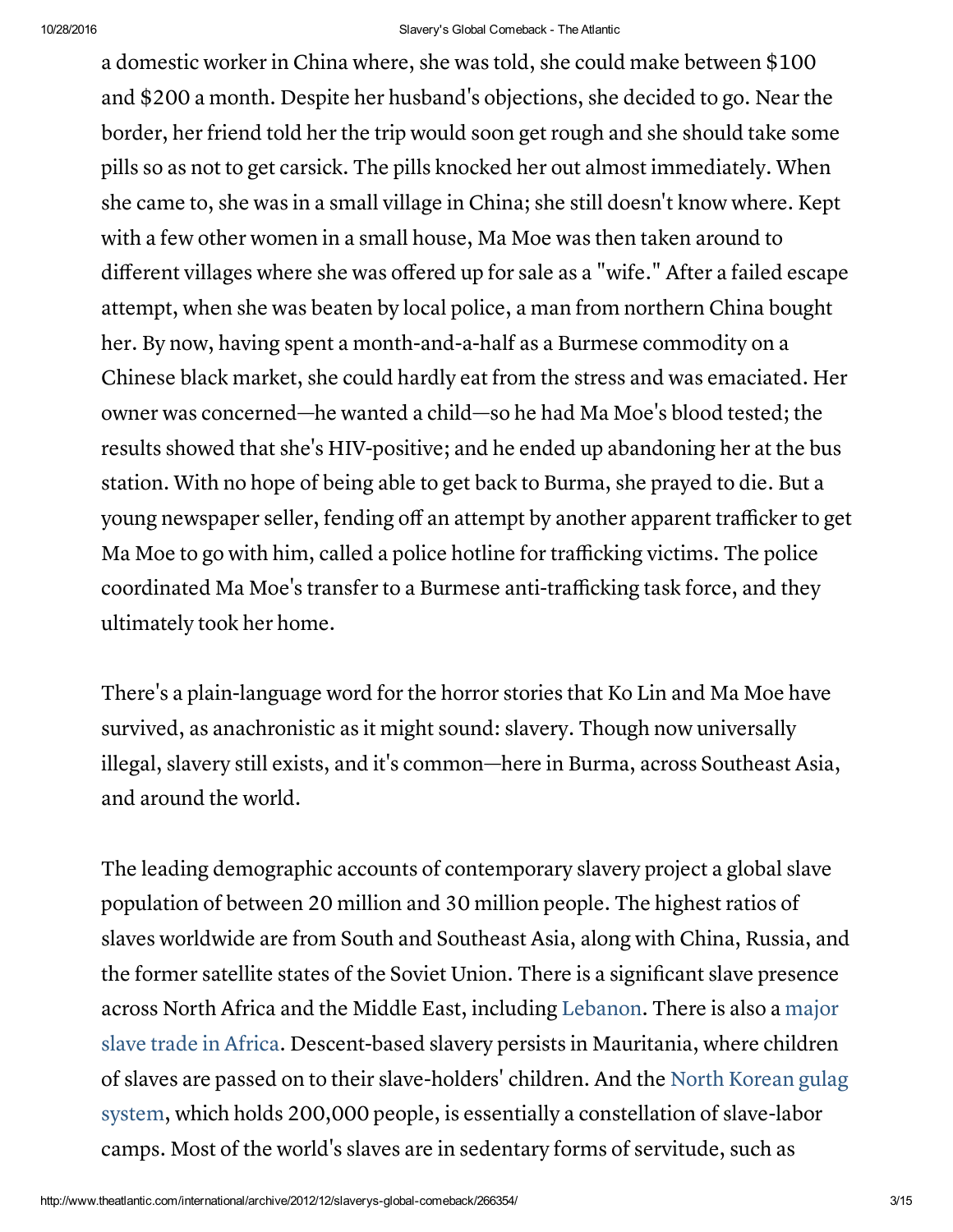a domestic worker in China where, she was told, she could make between \$100 and \$200 a month. Despite her husband's objections, she decided to go. Near the border, her friend told her the trip would soon get rough and she should take some pills so as not to get carsick. The pills knocked her out almost immediately. When she came to, she was in a small village in China; she still doesn't know where. Kept with a few other women in a small house, Ma Moe was then taken around to different villages where she was offered up for sale as a "wife." After a failed escape attempt, when she was beaten by local police, a man from northern China bought her. By now, having spent a month-and-a-half as a Burmese commodity on a Chinese black market, she could hardly eat from the stress and was emaciated. Her owner was concerned—he wanted a child—so he had Ma Moe's blood tested; the results showed that she's HIV-positive; and he ended up abandoning her at the bus station. With no hope of being able to get back to Burma, she prayed to die. But a young newspaper seller, fending off an attempt by another apparent trafficker to get Ma Moe to go with him, called a police hotline for trafficking victims. The police coordinated Ma Moe's transfer to a Burmese anti-trafficking task force, and they ultimately took her home.

There's a plain-language word for the horror stories that Ko Lin and Ma Moe have survived, as anachronistic as it might sound: slavery. Though now universally illegal, slavery still exists, and it's common—here in Burma, across Southeast Asia, and around the world.

The leading demographic accounts of contemporary slavery project a global slave population of between 20 million and 30 million people. The highest ratios of slaves worldwide are from South and Southeast Asia, along with China, Russia, and the former satellite states of the Soviet Union. There is a significant slave presence across North Africa and the Middle East, including [Lebanon.](http://www.theatlantic.com/international/archive/2010/12/trapped-in-lebanon-foreign-domestic-workers-with-no-rights-or-way-home/67479/) There is also a major slave trade in Africa. [Descent-based](http://www.theatlantic.com/past/docs/issues/99jul/9907sudanslaves.htm) slavery persists in Mauritania, where children of slaves are passed on to their [slave-holders'](http://en.wikipedia.org/wiki/Prisons_in_North_Korea) children. And the North Korean gulag system, which holds 200,000 people, is essentially a constellation of slave-labor camps. Most of the world's slaves are in sedentary forms of servitude, such as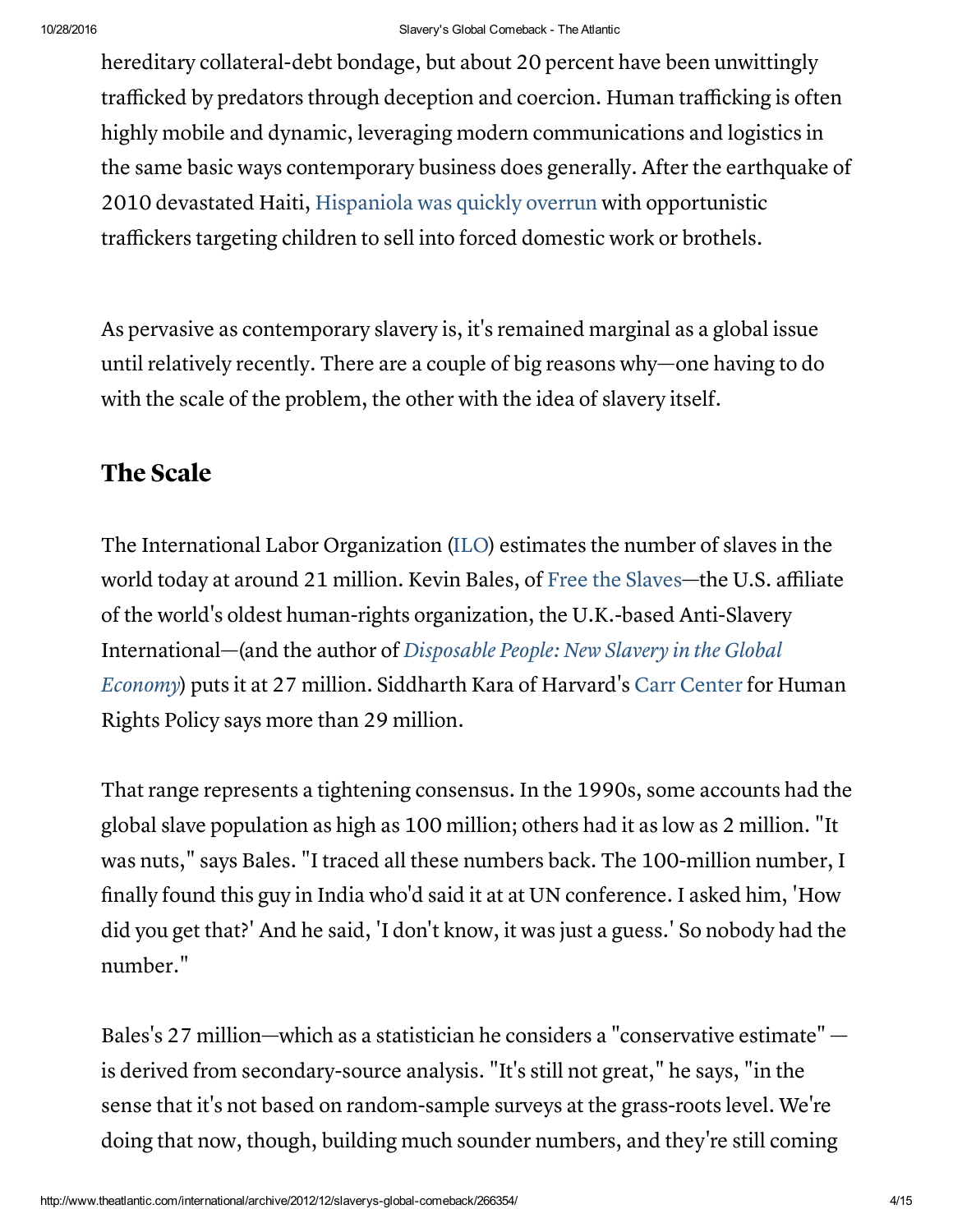hereditary collateral-debt bondage, but about 20 percent have been unwittingly trafficked by predators through deception and coercion. Human trafficking is often highly mobile and dynamic, leveraging modern communications and logistics in the same basic ways contemporary business does generally. After the earthquake of 2010 devastated Haiti, [Hispaniola](http://www.theatlantic.com/magazine/archive/2010/01/island-of-lost-children/307876/) was quickly overrun with opportunistic traffickers targeting children to sell into forced domestic work or brothels.

As pervasive as contemporary slavery is, it's remained marginal as a global issue until relatively recently. There are a couple of big reasons why—one having to do with the scale of the problem, the other with the idea of slavery itself.

## The Scale

The International Labor Organization [\(ILO](http://www.ilo.org/global/about-the-ilo/newsroom/news/WCMS_181961/lang--en/index.htm)) estimates the number of slaves in the world today at around 21 million. Kevin Bales, of Free the [Slaves](http://www.freetheslaves.net/)—the U.S. affiliate of the world's oldest human-rights organization, the U.K.-based Anti-Slavery [International—\(and](http://search.barnesandnoble.com/Disposable-People/Kevin-Bales/e/9780520272910) the author of Disposable People: New Slavery in the Global Economy) puts it at 27 million. Siddharth Kara of Harvard's Carr [Center](http://www.hks.harvard.edu/centers/carr/programs/human-trafficking-and-modern-slavery) for Human Rights Policy says more than 29 million.

That range represents a tightening consensus. In the 1990s, some accounts had the global slave population as high as 100 million; others had it as low as 2 million. "It was nuts," says Bales. "I traced all these numbers back. The 100-million number, I finally found this guy in India who'd said it at at UN conference. I asked him, 'How did you get that?' And he said, 'I don't know, it was just a guess.' So nobody had the number."

Bales's 27 million—which as a statistician he considers a "conservative estimate" is derived from secondary-source analysis. "It's still not great," he says, "in the sense that it's not based on random-sample surveys at the grass-roots level. We're doing that now, though, building much sounder numbers, and they're still coming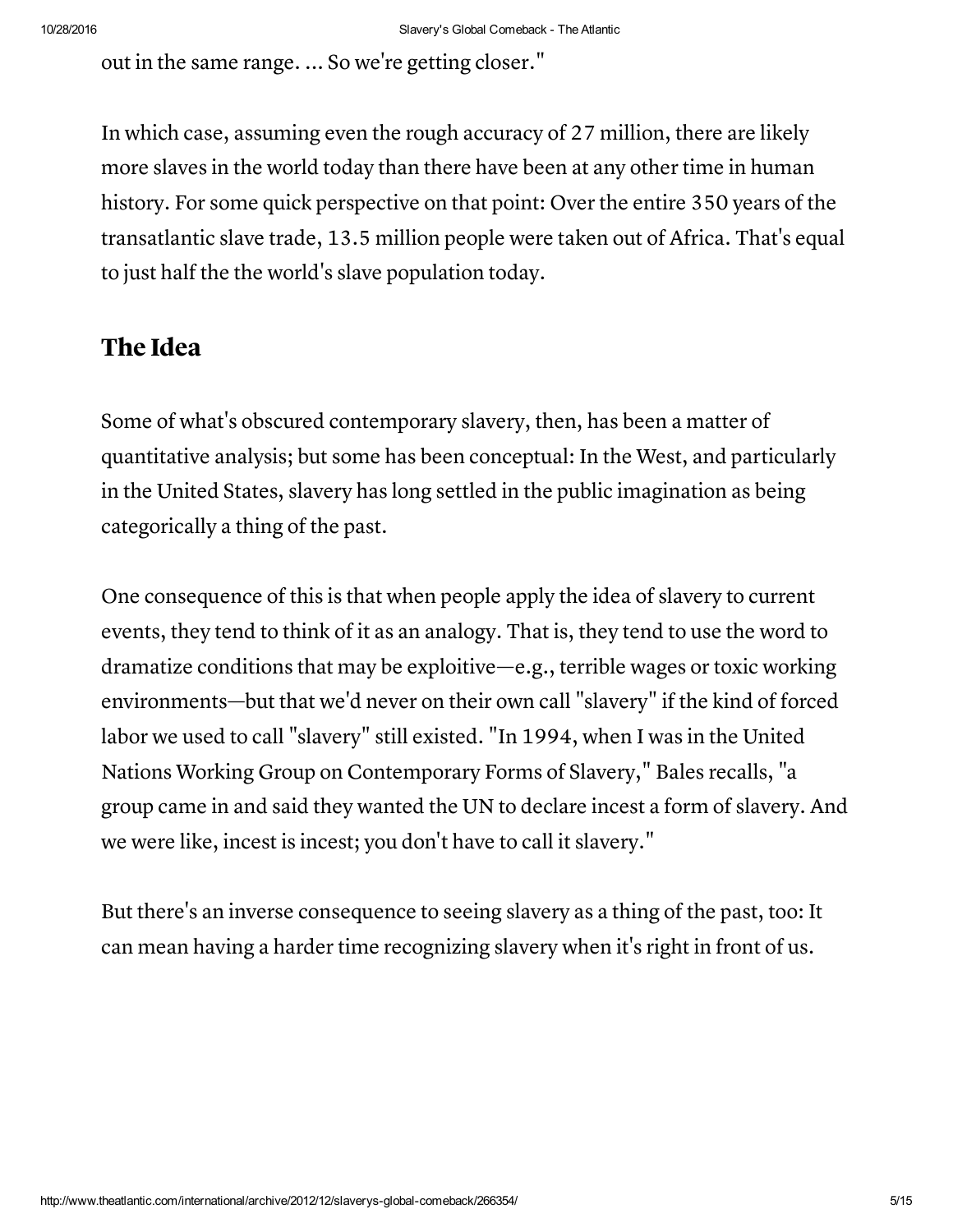out in the same range. ... So we're getting closer."

In which case, assuming even the rough accuracy of 27 million, there are likely more slaves in the world today than there have been at any other time in human history. For some quick perspective on that point: Over the entire 350 years of the transatlantic slave trade, 13.5 million people were taken out of Africa. That's equal to just half the the world's slave population today.

## The Idea

Some of what's obscured contemporary slavery, then, has been a matter of quantitative analysis; but some has been conceptual: In the West, and particularly in the United States, slavery has long settled in the public imagination as being categorically a thing of the past.

One consequence of this is that when people apply the idea of slavery to current events, they tend to think of it as an analogy. That is, they tend to use the word to dramatize conditions that may be exploitive—e.g., terrible wages or toxic working environments—but that we'd never on their own call "slavery" if the kind of forced labor we used to call "slavery" still existed. "In 1994, when I was in the United Nations Working Group on Contemporary Forms of Slavery," Bales recalls, "a group came in and said they wanted the UN to declare incest a form of slavery. And we were like, incest is incest; you don't have to call it slavery."

But there's an inverse consequence to seeing slavery as a thing of the past, too: It can mean having a harder time recognizing slavery when it's right in front of us.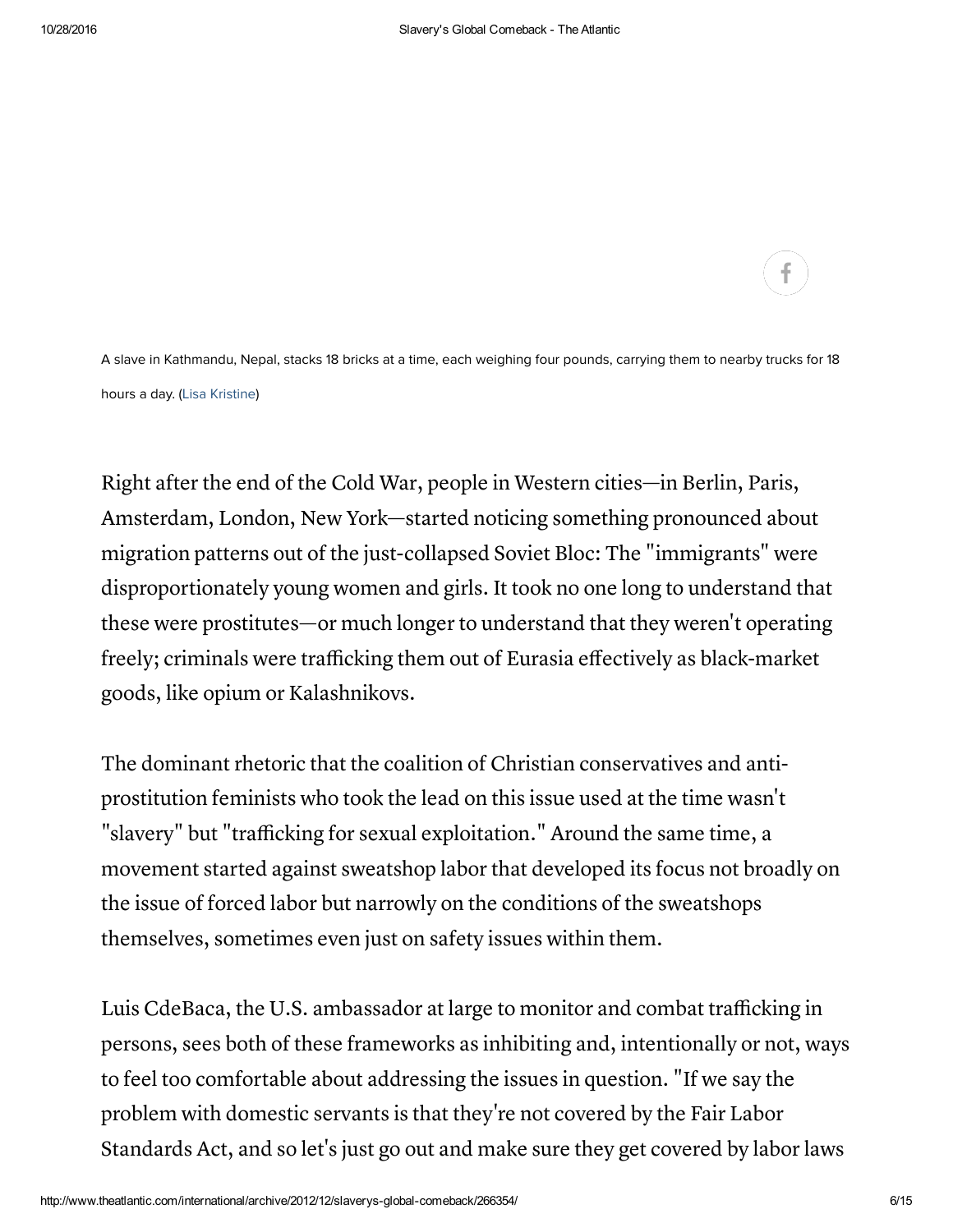A slave in Kathmandu, Nepal, stacks 18 bricks at a time, each weighing four pounds, carrying them to nearby trucks for 18 hours a day. (Lisa [Kristine](http://www.lisakristine.com/))

Right after the end of the Cold War, people in Western cities—in Berlin, Paris, Amsterdam, London, New York—started noticing something pronounced about migration patterns out of the just-collapsed Soviet Bloc: The "immigrants" were disproportionately young women and girls. It took no one long to understand that these were prostitutes—or much longer to understand that they weren't operating freely; criminals were trafficking them out of Eurasia effectively as black-market goods, like opium or Kalashnikovs.

The dominant rhetoric that the coalition of Christian conservatives and antiprostitution feminists who took the lead on this issue used at the time wasn't "slavery" but "trafficking for sexual exploitation." Around the same time, a movement started against sweatshop labor that developed its focus not broadly on the issue of forced labor but narrowly on the conditions of the sweatshops themselves, sometimes even just on safety issues within them.

Luis CdeBaca, the U.S. ambassador at large to monitor and combat trafficking in persons, sees both of these frameworks as inhibiting and, intentionally or not, ways to feel too comfortable about addressing the issues in question. "If we say the problem with domestic servants is that they're not covered by the Fair Labor Standards Act, and so let's just go out and make sure they get covered by labor laws

f.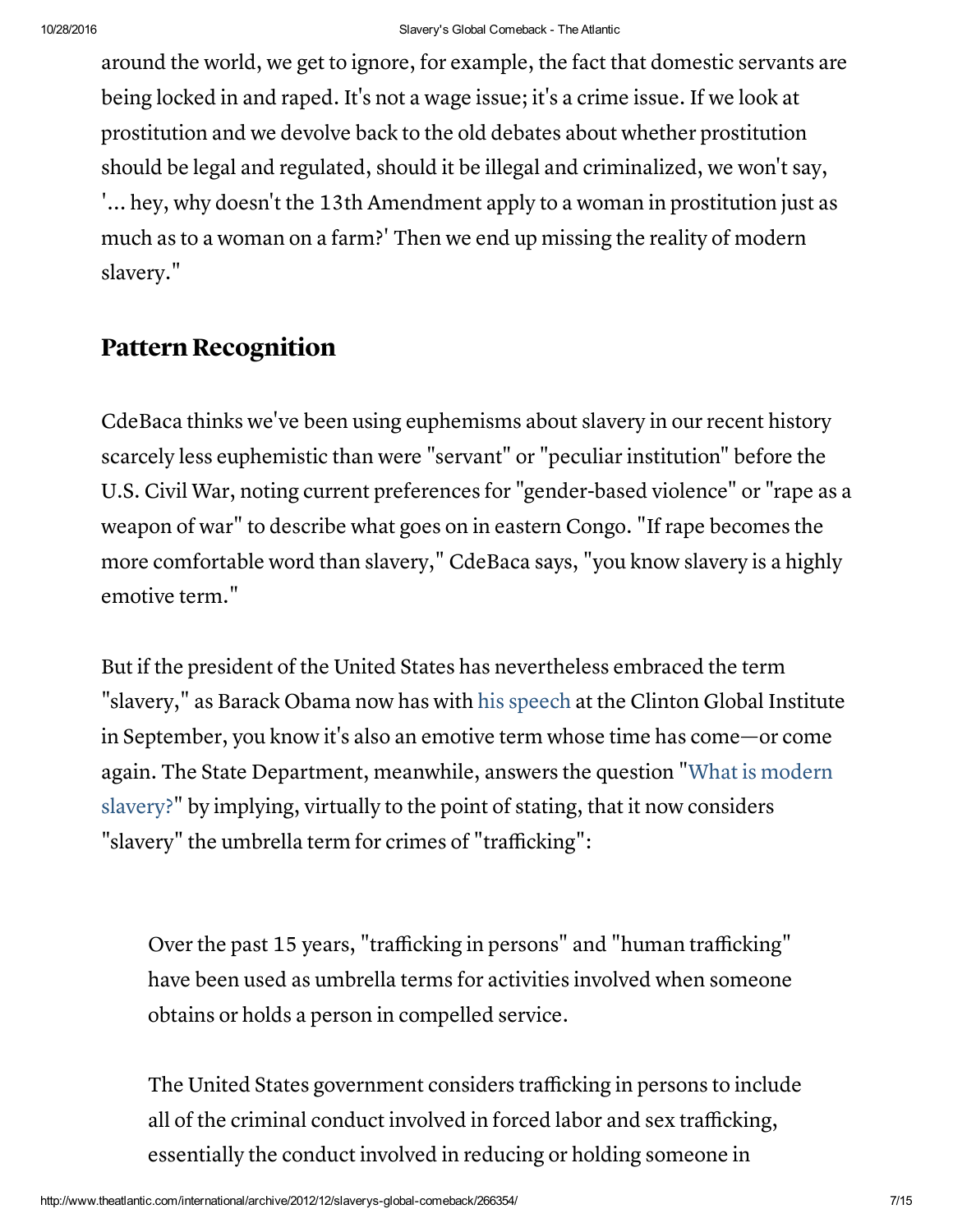around the world, we get to ignore, for example, the fact that domestic servants are being locked in and raped. It's not a wage issue; it's a crime issue. If we look at prostitution and we devolve back to the old debates about whether prostitution should be legal and regulated, should it be illegal and criminalized, we won't say, '... hey, why doesn't the 13th Amendment apply to a woman in prostitution just as much as to a woman on a farm?' Then we end up missing the reality of modern slavery."

## Pattern Recognition

CdeBaca thinks we've been using euphemisms about slavery in our recent history scarcely less euphemistic than were "servant" or "peculiar institution" before the U.S. Civil War, noting current preferences for "gender-based violence" or "rape as a weapon of war" to describe what goes on in eastern Congo. "If rape becomes the more comfortable word than slavery," CdeBaca says, "you know slavery is a highly emotive term."

But if the president of the United States has nevertheless embraced the term "slavery," as Barack Obama now has with his [speech](http://www.youtube.com/watch?v=8KzXcHZU4us) at the Clinton Global Institute in September, you know it's also an emotive term whose time has come—or come again. The State [Department,](http://www.state.gov/j/tip/what/index.htm) meanwhile, answers the question "What is modern slavery?" by implying, virtually to the point of stating, that it now considers "slavery" the umbrella term for crimes of "trafficking":

Over the past 15 years, "trafficking in persons" and "human trafficking" have been used as umbrella terms for activities involved when someone obtains or holds a person in compelled service.

The United States government considers trafficking in persons to include all of the criminal conduct involved in forced labor and sex trafficking, essentially the conduct involved in reducing or holding someone in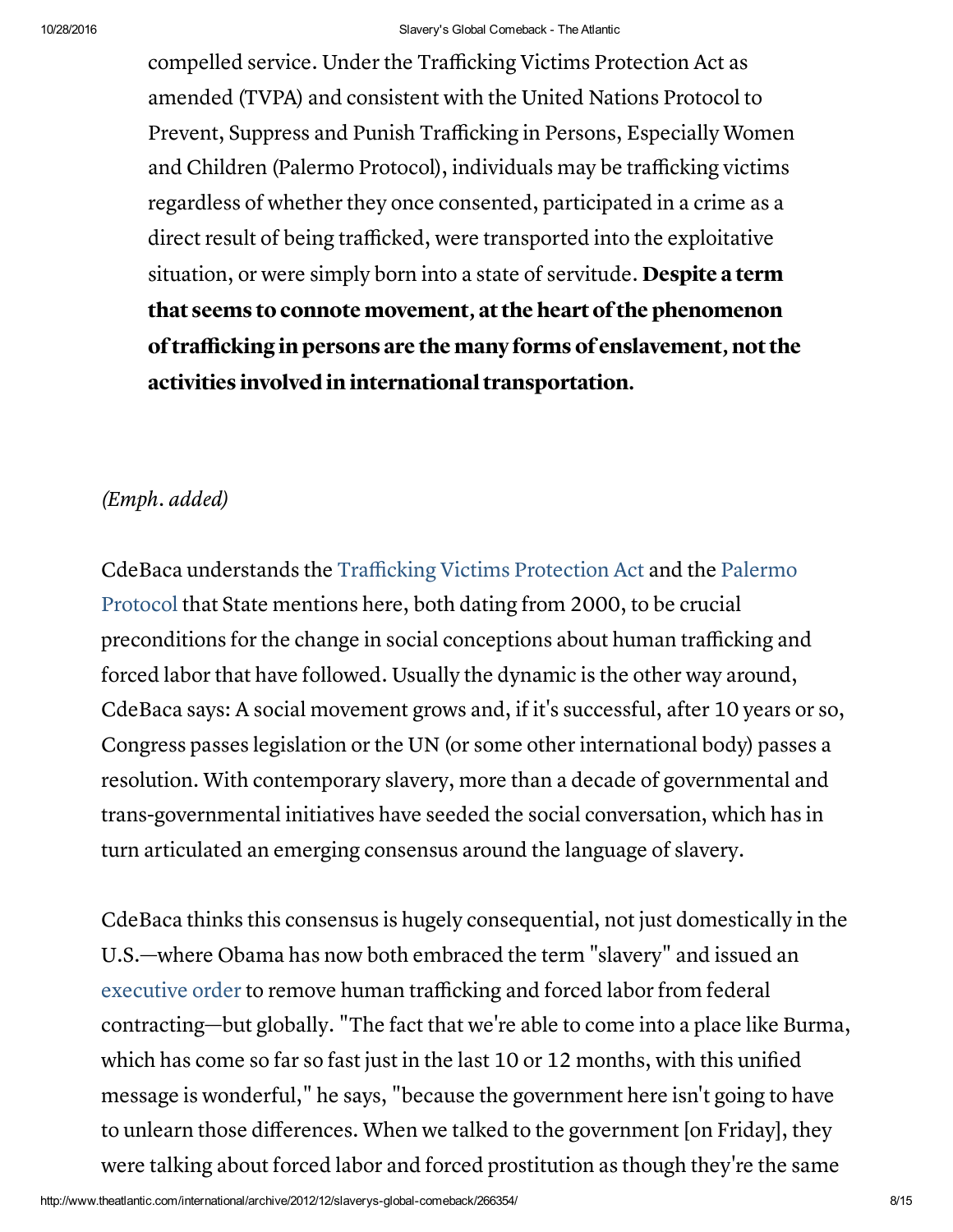compelled service. Under the Trafficking Victims Protection Act as amended (TVPA) and consistent with the United Nations Protocol to Prevent, Suppress and Punish Trafficking in Persons, Especially Women and Children (Palermo Protocol), individuals may be trafficking victims regardless of whether they once consented, participated in a crime as a direct result of being trafficked, were transported into the exploitative situation, or were simply born into a state of servitude. Despite a term that seems to connote movement, at the heart of the phenomenon of trafficking in persons are the many forms of enslavement, not the activities involved in international transportation.

### (Emph. added)

CdeBaca [understands](http://en.wikipedia.org/wiki/Protocol_to_Prevent,_Suppress_and_Punish_Trafficking_in_Persons,_especially_Women_and_Children) the [Trafficking](http://en.wikipedia.org/wiki/Victims_of_Trafficking_and_Violence_Protection_Act_of_2000) Victims Protection Act and the Palermo Protocol that State mentions here, both dating from 2000, to be crucial preconditions for the change in social conceptions about human trafficking and forced labor that have followed. Usually the dynamic is the other way around, CdeBaca says: A social movement grows and, if it's successful, after 10 years or so, Congress passes legislation or the UN (or some other international body) passes a resolution. With contemporary slavery, more than a decade of governmental and trans-governmental initiatives have seeded the social conversation, which has in turn articulated an emerging consensus around the language of slavery.

CdeBaca thinks this consensus is hugely consequential, not just domestically in the U.S.—where Obama has now both embraced the term "slavery" and issued an [executive](http://www.whitehouse.gov/the-press-office/2012/09/25/executive-order-strengthening-protections-against-trafficking-persons-fe) order to remove human trafficking and forced labor from federal contracting—but globally. "The fact that we're able to come into a place like Burma, which has come so far so fast just in the last 10 or 12 months, with this unified message is wonderful," he says, "because the government here isn't going to have to unlearn those differences. When we talked to the government [on Friday], they were talking about forced labor and forced prostitution as though they're the same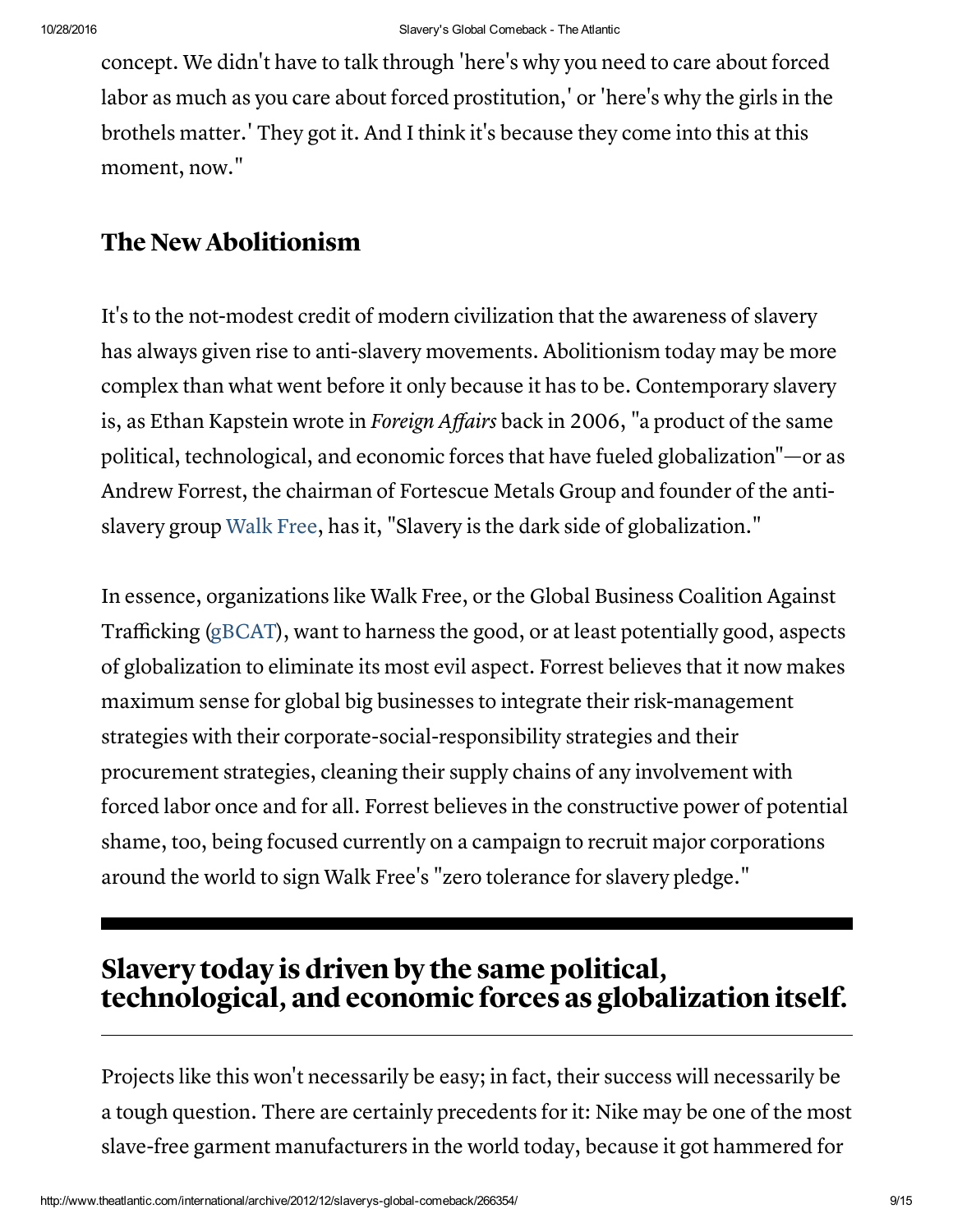concept. We didn't have to talk through 'here's why you need to care about forced labor as much as you care about forced prostitution,' or 'here's why the girls in the brothels matter.' They got it. And I think it's because they come into this at this moment, now."

# The New Abolitionism

It's to the not-modest credit of modern civilization that the awareness of slavery has always given rise to anti-slavery movements. Abolitionism today may be more complex than what went before it only because it has to be. Contemporary slavery is, as Ethan Kapstein wrote in *Foreign Affairs* back in 2006, "a product of the same political, technological, and economic forces that have fueled globalization"—or as Andrew Forrest, the chairman of Fortescue Metals Group and founder of the antislavery group [Walk](http://www.walkfree.org/) Free, has it, "Slavery is the dark side of globalization."

In essence, organizations like Walk Free, or the Global Business Coalition Against Trafficking ([gBCAT](http://www.gbcat.org/)), want to harness the good, or at least potentially good, aspects of globalization to eliminate its most evil aspect. Forrest believes that it now makes maximum sense for global big businesses to integrate their risk-management strategies with their corporate-social-responsibility strategies and their procurement strategies, cleaning their supply chains of any involvement with forced labor once and for all. Forrest believes in the constructive power of potential shame, too, being focused currently on a campaign to recruit major corporations around the world to sign Walk Free's "zero tolerance for slavery pledge."

# Slavery today is driven by the same political, technological, and economic forces as globalization itself.

Projects like this won't necessarily be easy; in fact, their success will necessarily be a tough question. There are certainly precedents for it: Nike may be one of the most slave-free garment manufacturers in the world today, because it got hammered for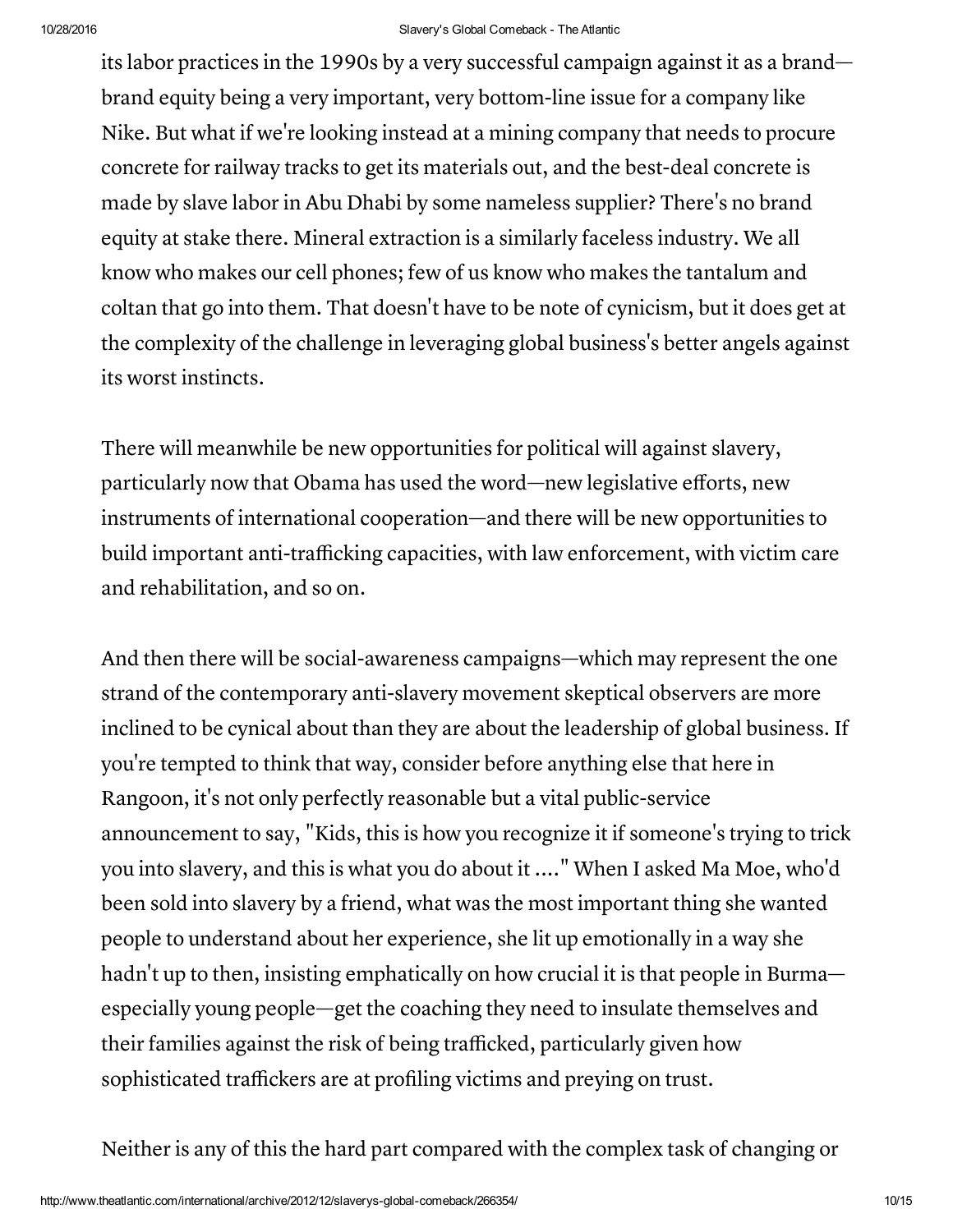its labor practices in the 1990s by a very successful campaign against it as a brand brand equity being a very important, very bottom-line issue for a company like Nike. But what if we're looking instead at a mining company that needs to procure concrete for railway tracks to get its materials out, and the best-deal concrete is made by slave labor in Abu Dhabi by some nameless supplier? There's no brand equity at stake there. Mineral extraction is a similarly faceless industry. We all know who makes our cell phones; few of us know who makes the tantalum and coltan that go into them. That doesn't have to be note of cynicism, but it does get at the complexity of the challenge in leveraging global business's better angels against its worst instincts.

There will meanwhile be new opportunities for political will against slavery, particularly now that Obama has used the word—new legislative efforts, new instruments of international cooperation—and there will be new opportunities to build important anti-trafficking capacities, with law enforcement, with victim care and rehabilitation, and so on.

And then there will be social-awareness campaigns—which may represent the one strand of the contemporary anti-slavery movement skeptical observers are more inclined to be cynical about than they are about the leadership of global business. If you're tempted to think that way, consider before anything else that here in Rangoon, it's not only perfectly reasonable but a vital public-service announcement to say, "Kids, this is how you recognize it if someone's trying to trick you into slavery, and this is what you do about it ...." When I asked Ma Moe, who'd been sold into slavery by a friend, what was the most important thing she wanted people to understand about her experience, she lit up emotionally in a way she hadn't up to then, insisting emphatically on how crucial it is that people in Burma especially young people—get the coaching they need to insulate themselves and their families against the risk of being trafficked, particularly given how sophisticated traffickers are at profiling victims and preying on trust.

Neither is any of this the hard part compared with the complex task of changing or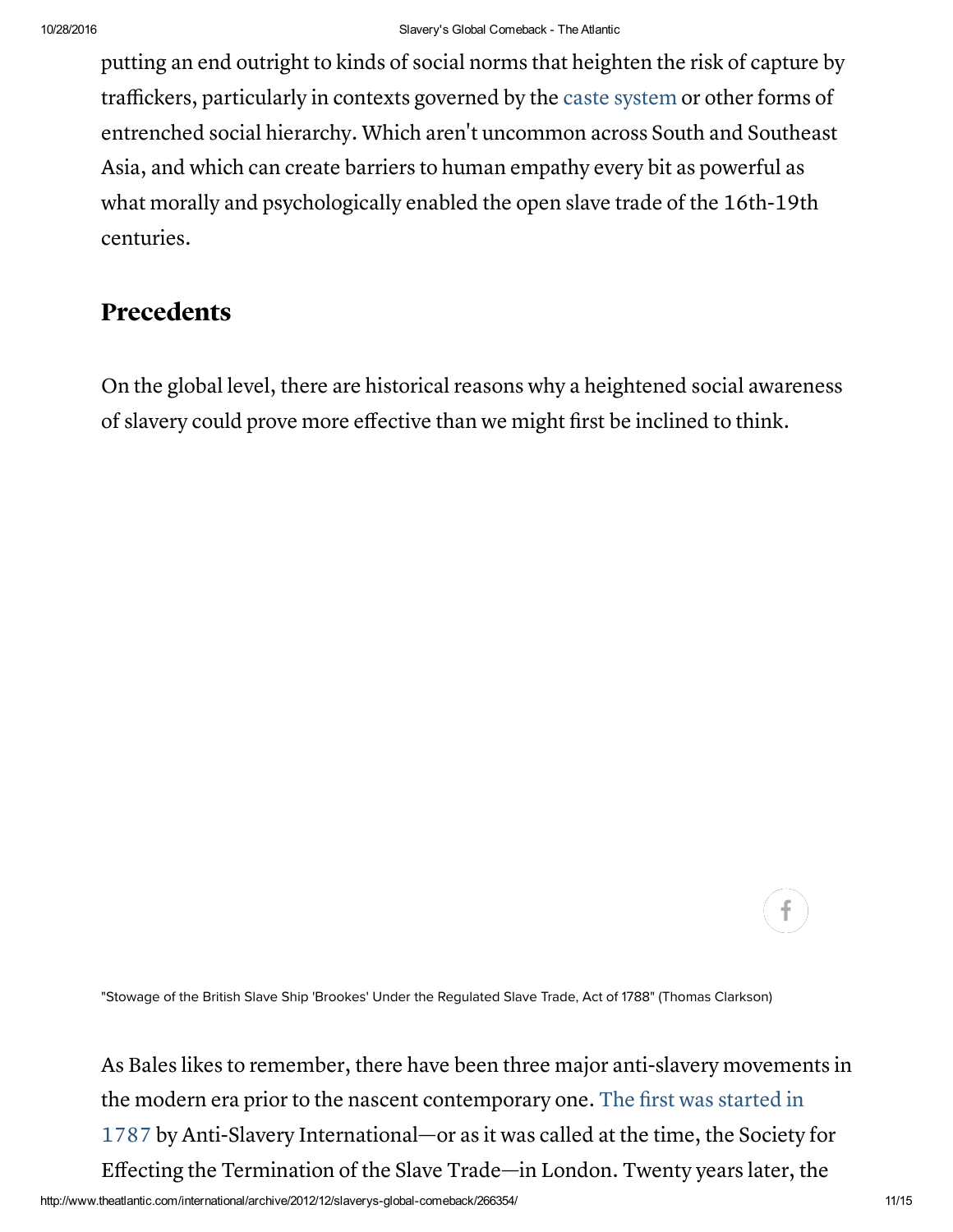putting an end outright to kinds of social norms that heighten the risk of capture by traffickers, particularly in contexts governed by the caste [system](http://en.wikipedia.org/wiki/Caste_system_in_India) or other forms of entrenched social hierarchy. Which aren't uncommon across South and Southeast Asia, and which can create barriers to human empathy every bit as powerful as what morally and psychologically enabled the open slave trade of the 16th-19th centuries.

## Precedents

On the global level, there are historical reasons why a heightened social awareness of slavery could prove more effective than we might first be inclined to think.

f.

"Stowage of the British Slave Ship 'Brookes' Under the Regulated Slave Trade, Act of 1788" (Thomas Clarkson)

As Bales likes to remember, there have been three major anti-slavery movements in the modern era prior to the nascent contemporary one. The first was started in 1787 by Anti-Slavery [International—or](http://www.barnesandnoble.com/w/bury-the-chains-adam-hochschild/1100303545) as it was called at the time, the Society for Effecting the Termination of the Slave Trade—in London. Twenty years later, the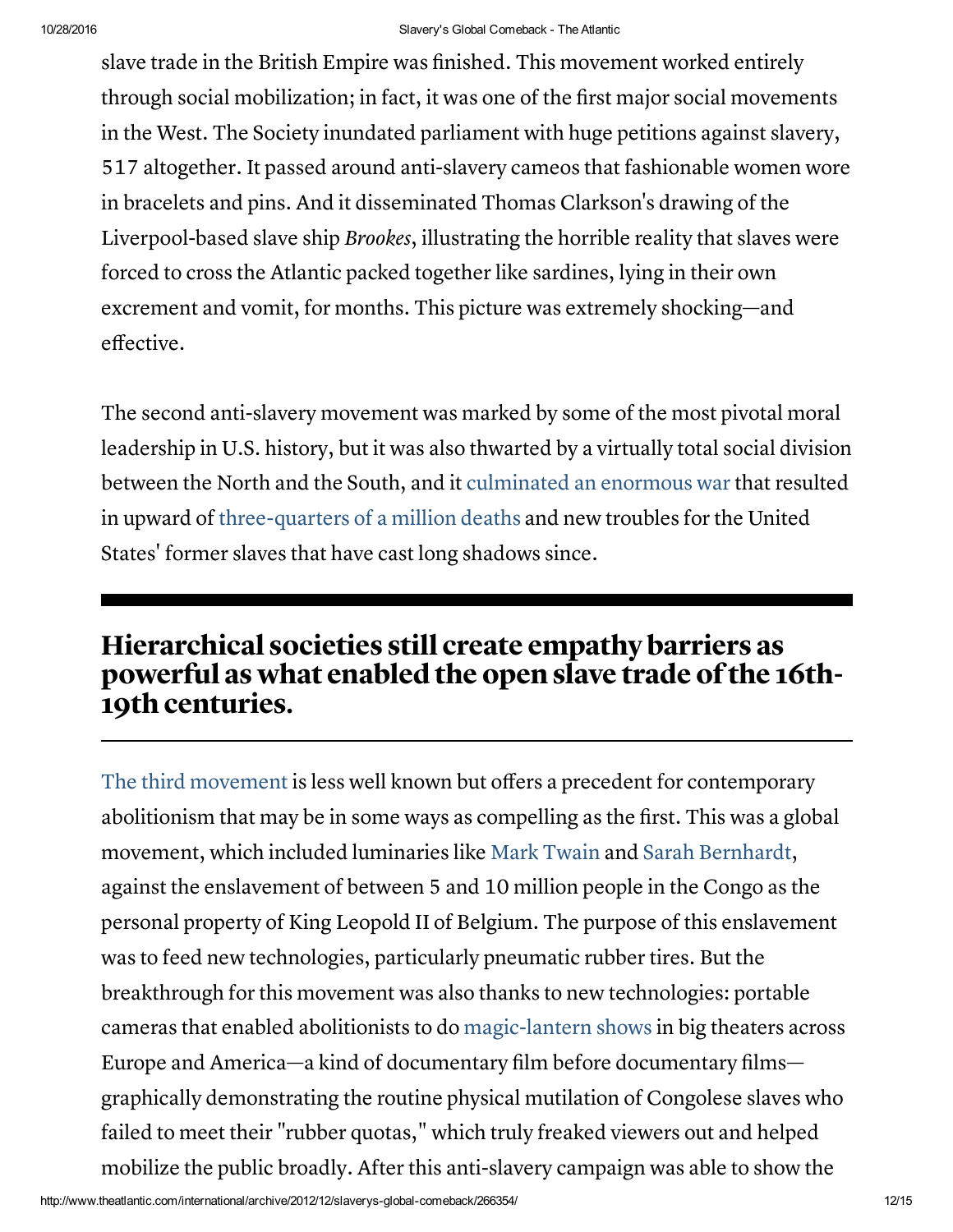slave trade in the British Empire was finished. This movement worked entirely through social mobilization; in fact, it was one of the first major social movements in the West. The Society inundated parliament with huge petitions against slavery, 517 altogether. It passed around anti-slavery cameos that fashionable women wore in bracelets and pins. And it disseminated Thomas Clarkson's drawing of the Liverpool-based slave ship Brookes, illustrating the horrible reality that slaves were forced to cross the Atlantic packed together like sardines, lying in their own excrement and vomit, for months. This picture was extremely shocking—and effective.

The second anti-slavery movement was marked by some of the most pivotal moral leadership in U.S. history, but it was also thwarted by a virtually total social division between the North and the South, and it [culminated](http://www.theatlantic.com/magazine/toc/2012/02/) an enormous war that resulted in upward of [three-quarters](http://www.binghamton.edu/inside/index.php/inside/story/history-professor-civil-war-death-toll-has-been-underestimated) of a million deaths and new troubles for the United States' former slaves that have cast long shadows since.

# Hierarchical societies still create empathy barriers as powerful as what enabled the open slave trade ofthe 16th-19th centuries.

The third [movement](http://www.barnesandnoble.com/w/king-leopolds-ghost-adam-hochschild/1100487017) is less well known but offers a precedent for contemporary abolitionism that may be in some ways as compelling as the first. This was a global movement, which included luminaries like Mark [Twain](http://www.theatlantic.com/video/index/260691/) and Sarah [Bernhardt,](http://en.wikipedia.org/wiki/Sarah_Bernhardt) against the enslavement of between 5 and 10 million people in the Congo as the personal property of King Leopold II of Belgium. The purpose of this enslavement was to feed new technologies, particularly pneumatic rubber tires. But the breakthrough for this movement was also thanks to new technologies: portable cameras that enabled abolitionists to do [magic-lantern](http://en.wikipedia.org/wiki/Magic_lantern) shows in big theaters across Europe and America—a kind of documentary film before documentary films graphically demonstrating the routine physical mutilation of Congolese slaves who failed to meet their "rubber quotas," which truly freaked viewers out and helped mobilize the public broadly. After this anti-slavery campaign was able to show the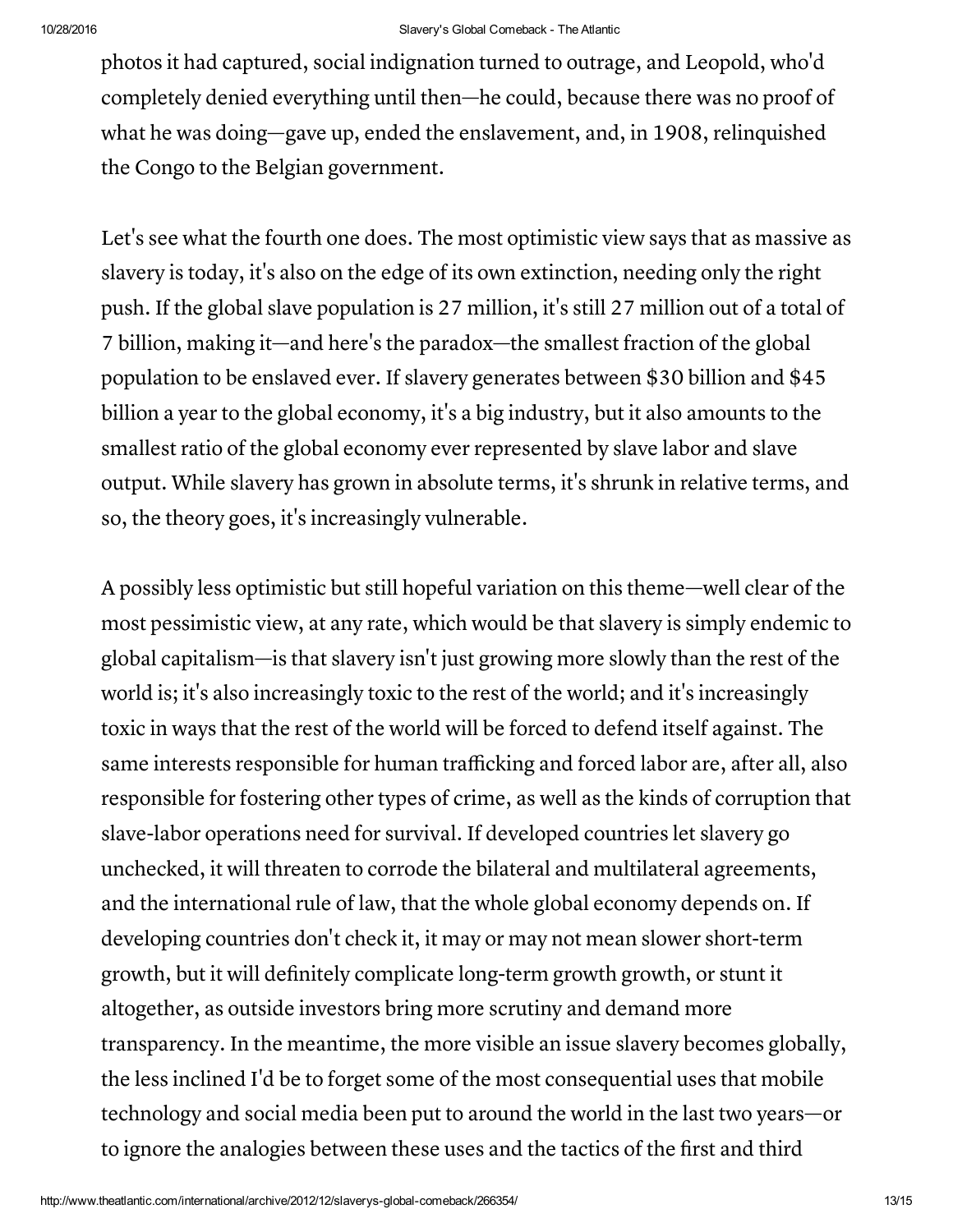photos it had captured, social indignation turned to outrage, and Leopold, who'd completely denied everything until then—he could, because there was no proof of what he was doing—gave up, ended the enslavement, and, in 1908, relinquished the Congo to the Belgian government.

Let's see what the fourth one does. The most optimistic view says that as massive as slavery is today, it's also on the edge of its own extinction, needing only the right push. If the global slave population is 27 million, it's still 27 million out of a total of 7 billion, making it—and here's the paradox—the smallest fraction of the global population to be enslaved ever. If slavery generates between \$30 billion and \$45 billion a year to the global economy, it's a big industry, but it also amounts to the smallest ratio of the global economy ever represented by slave labor and slave output. While slavery has grown in absolute terms, it's shrunk in relative terms, and so, the theory goes, it's increasingly vulnerable.

A possibly less optimistic but still hopeful variation on this theme—well clear of the most pessimistic view, at any rate, which would be that slavery is simply endemic to global capitalism—is that slavery isn't just growing more slowly than the rest of the world is; it's also increasingly toxic to the rest of the world; and it's increasingly toxic in ways that the rest of the world will be forced to defend itself against. The same interests responsible for human trafficking and forced labor are, after all, also responsible for fostering other types of crime, as well as the kinds of corruption that slave-labor operations need for survival. If developed countries let slavery go unchecked, it will threaten to corrode the bilateral and multilateral agreements, and the international rule of law, that the whole global economy depends on. If developing countries don't check it, it may or may not mean slower short-term growth, but it will definitely complicate long-term growth growth, or stunt it altogether, as outside investors bring more scrutiny and demand more transparency. In the meantime, the more visible an issue slavery becomes globally, the less inclined I'd be to forget some of the most consequential uses that mobile technology and social media been put to around the world in the last two years—or to ignore the analogies between these uses and the tactics of the first and third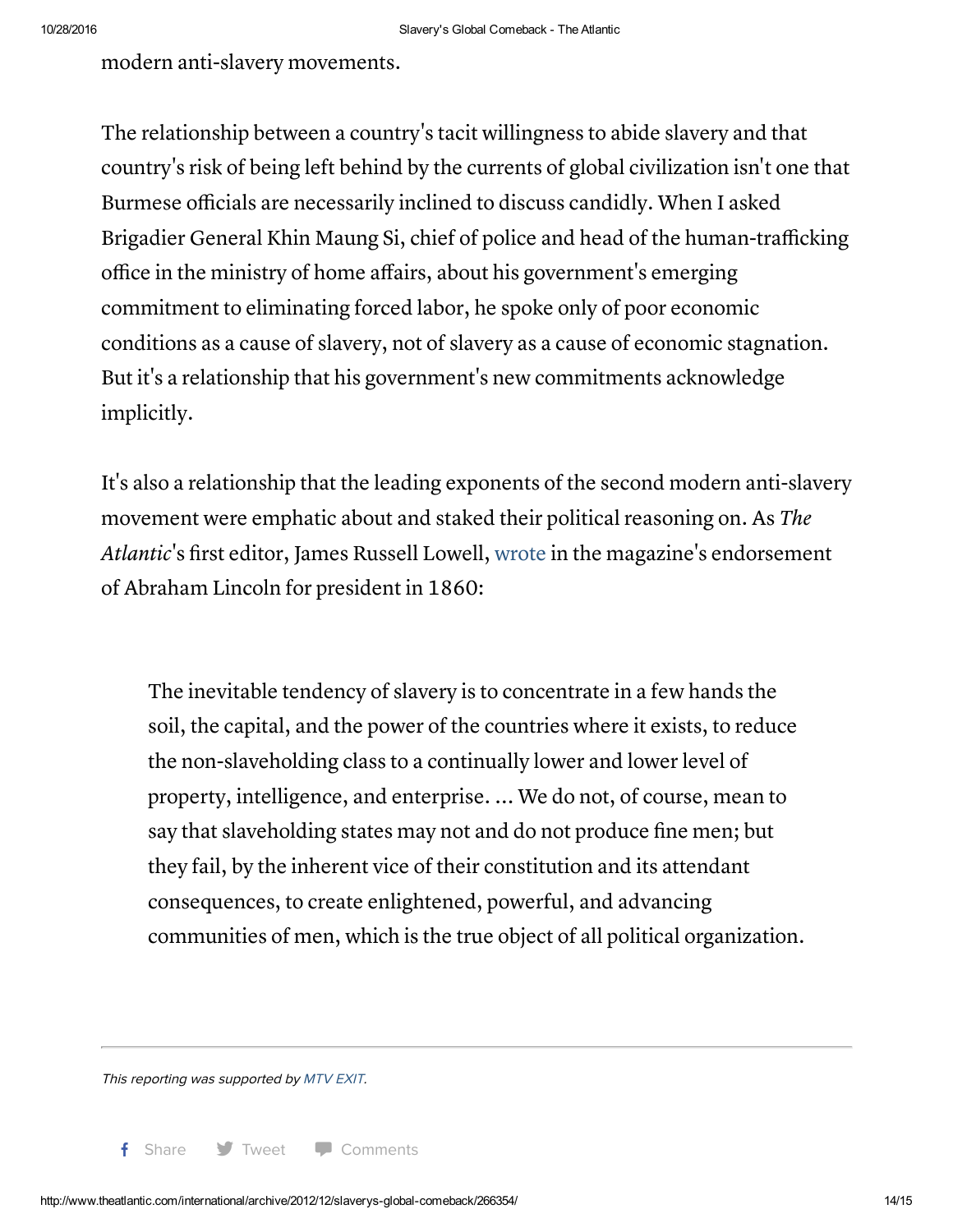modern anti-slavery movements.

The relationship between a country's tacit willingness to abide slavery and that country's risk of being left behind by the currents of global civilization isn't one that Burmese officials are necessarily inclined to discuss candidly. When I asked Brigadier General Khin Maung Si, chief of police and head of the human-trafficking office in the ministry of home affairs, about his government's emerging commitment to eliminating forced labor, he spoke only of poor economic conditions as a cause of slavery, not of slavery as a cause of economic stagnation. But it's a relationship that his government's new commitments acknowledge implicitly.

It's also a relationship that the leading exponents of the second modern anti-slavery movement were emphatic about and staked their political reasoning on. As The Atlantic's first editor, James Russell Lowell, [wrote](http://www.theatlantic.com/magazine/archive/1860/10/the-election-in-november/306549/) in the magazine's endorsement of Abraham Lincoln for president in 1860:

The inevitable tendency of slavery is to concentrate in a few hands the soil, the capital, and the power of the countries where it exists, to reduce the non-slaveholding class to a continually lower and lower level of property, intelligence, and enterprise. ... We do not, of course, mean to say that slaveholding states may not and do not produce fine men; but they fail, by the inherent vice of their constitution and its attendant consequences, to create enlightened, powerful, and advancing communities of men, which is the true object of all political organization.

This reporting was supported by [MTV](http://www.mtvexit.org/about/) EXIT.

f Share **T** Tweet **T** Comments